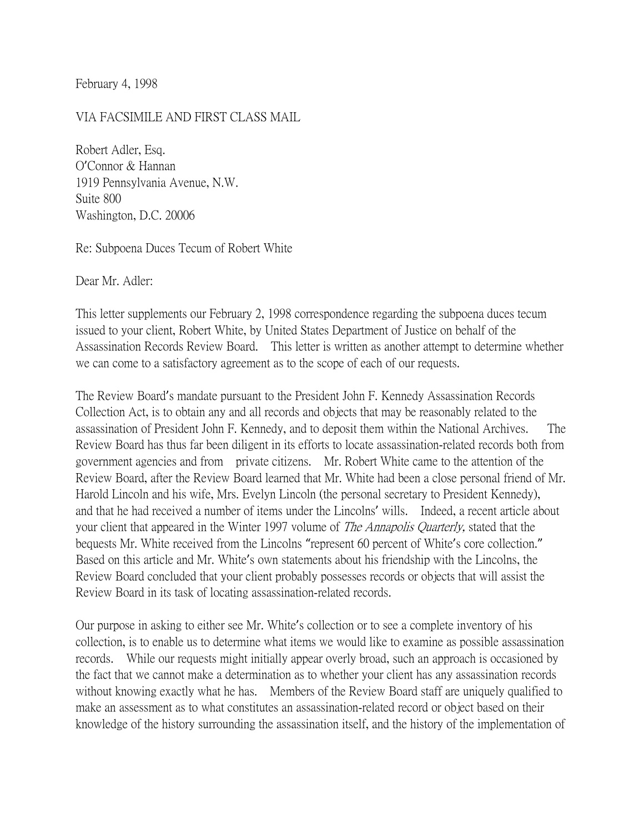February 4, 1998

#### VIA FACSIMILE AND FIRST CLASS MAIL

Robert Adler, Esq. O'Connor & Hannan 1919 Pennsylvania Avenue, N.W. Suite 800 Washington, D.C. 20006

Re: Subpoena Duces Tecum of Robert White

Dear Mr. Adler:

This letter supplements our February 2, 1998 correspondence regarding the subpoena duces tecum issued to your client, Robert White, by United States Department of Justice on behalf of the Assassination Records Review Board. This letter is written as another attempt to determine whether we can come to a satisfactory agreement as to the scope of each of our requests.

The Review Board's mandate pursuant to the President John F. Kennedy Assassination Records Collection Act, is to obtain any and all records and objects that may be reasonably related to the assassination of President John F. Kennedy, and to deposit them within the National Archives. The Review Board has thus far been diligent in its efforts to locate assassination-related records both from government agencies and from private citizens. Mr. Robert White came to the attention of the Review Board, after the Review Board learned that Mr. White had been a close personal friend of Mr. Harold Lincoln and his wife, Mrs. Evelyn Lincoln (the personal secretary to President Kennedy), and that he had received a number of items under the Lincolns' wills. Indeed, a recent article about your client that appeared in the Winter 1997 volume of *The Annapolis Ouarterly*, stated that the bequests Mr. White received from the Lincolns "represent 60 percent of White's core collection." Based on this article and Mr. White's own statements about his friendship with the Lincolns, the Review Board concluded that your client probably possesses records or objects that will assist the Review Board in its task of locating assassination-related records.

Our purpose in asking to either see Mr. White's collection or to see a complete inventory of his collection, is to enable us to determine what items we would like to examine as possible assassination records. While our requests might initially appear overly broad, such an approach is occasioned by the fact that we cannot make a determination as to whether your client has any assassination records without knowing exactly what he has. Members of the Review Board staff are uniquely qualified to make an assessment as to what constitutes an assassination-related record or object based on their knowledge of the history surrounding the assassination itself, and the history of the implementation of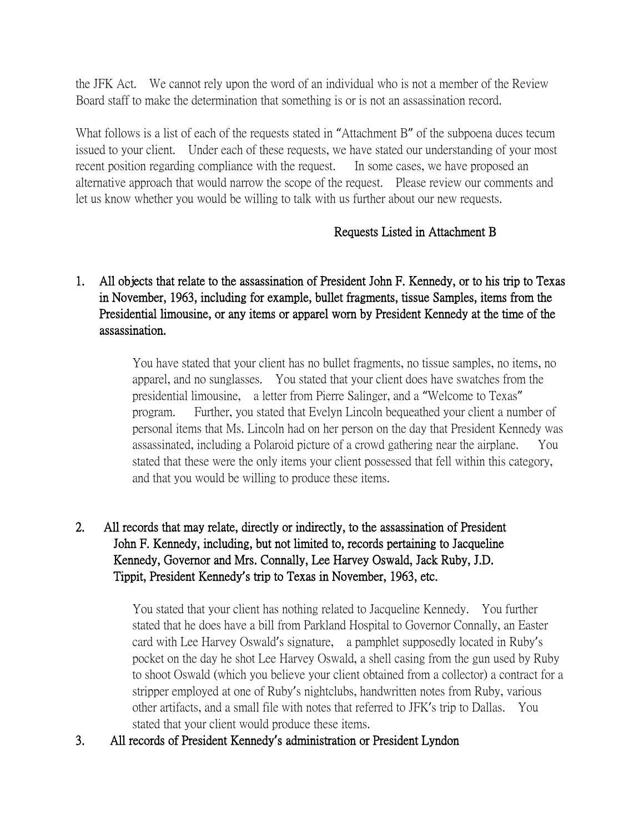the JFK Act. We cannot rely upon the word of an individual who is not a member of the Review Board staff to make the determination that something is or is not an assassination record.

What follows is a list of each of the requests stated in "Attachment B" of the subpoena duces tecum issued to your client. Under each of these requests, we have stated our understanding of your most recent position regarding compliance with the request. In some cases, we have proposed an alternative approach that would narrow the scope of the request. Please review our comments and let us know whether you would be willing to talk with us further about our new requests.

### Requests Listed in Attachment B

# 1. All objects that relate to the assassination of President John F. Kennedy, or to his trip to Texas in November, 1963, including for example, bullet fragments, tissue Samples, items from the Presidential limousine, or any items or apparel worn by President Kennedy at the time of the assassination.

You have stated that your client has no bullet fragments, no tissue samples, no items, no apparel, and no sunglasses. You stated that your client does have swatches from the presidential limousine, a letter from Pierre Salinger, and a "Welcome to Texas" program. Further, you stated that Evelyn Lincoln bequeathed your client a number of personal items that Ms. Lincoln had on her person on the day that President Kennedy was assassinated, including a Polaroid picture of a crowd gathering near the airplane. You stated that these were the only items your client possessed that fell within this category, and that you would be willing to produce these items.

# 2. All records that may relate, directly or indirectly, to the assassination of President John F. Kennedy, including, but not limited to, records pertaining to Jacqueline Kennedy, Governor and Mrs. Connally, Lee Harvey Oswald, Jack Ruby, J.D. Tippit, President Kennedy**'**s trip to Texas in November, 1963, etc.

You stated that your client has nothing related to Jacqueline Kennedy. You further stated that he does have a bill from Parkland Hospital to Governor Connally, an Easter card with Lee Harvey Oswald's signature, a pamphlet supposedly located in Ruby's pocket on the day he shot Lee Harvey Oswald, a shell casing from the gun used by Ruby to shoot Oswald (which you believe your client obtained from a collector) a contract for a stripper employed at one of Ruby's nightclubs, handwritten notes from Ruby, various other artifacts, and a small file with notes that referred to JFK's trip to Dallas. You stated that your client would produce these items.

3. All records of President Kennedy**'**s administration or President Lyndon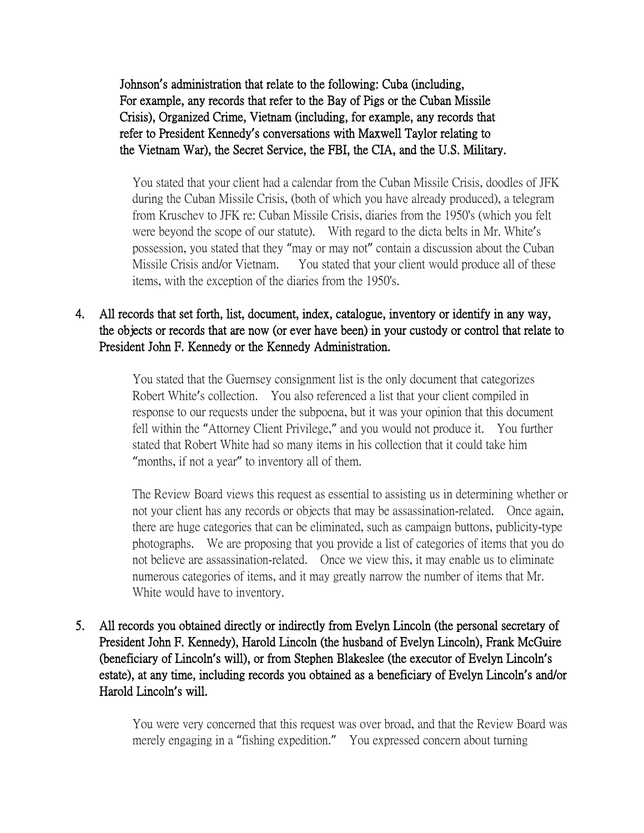Johnson**'**s administration that relate to the following: Cuba (including, For example, any records that refer to the Bay of Pigs or the Cuban Missile Crisis), Organized Crime, Vietnam (including, for example, any records that refer to President Kennedy**'**s conversations with Maxwell Taylor relating to the Vietnam War), the Secret Service, the FBI, the CIA, and the U.S. Military.

You stated that your client had a calendar from the Cuban Missile Crisis, doodles of JFK during the Cuban Missile Crisis, (both of which you have already produced), a telegram from Kruschev to JFK re: Cuban Missile Crisis, diaries from the 1950's (which you felt were beyond the scope of our statute). With regard to the dicta belts in Mr. White's possession, you stated that they "may or may not" contain a discussion about the Cuban Missile Crisis and/or Vietnam. You stated that your client would produce all of these items, with the exception of the diaries from the 1950's.

### 4. All records that set forth, list, document, index, catalogue, inventory or identify in any way, the objects or records that are now (or ever have been) in your custody or control that relate to President John F. Kennedy or the Kennedy Administration.

You stated that the Guernsey consignment list is the only document that categorizes Robert White's collection. You also referenced a list that your client compiled in response to our requests under the subpoena, but it was your opinion that this document fell within the "Attorney Client Privilege," and you would not produce it. You further stated that Robert White had so many items in his collection that it could take him "months, if not a year" to inventory all of them.

The Review Board views this request as essential to assisting us in determining whether or not your client has any records or objects that may be assassination-related. Once again, there are huge categories that can be eliminated, such as campaign buttons, publicity-type photographs. We are proposing that you provide a list of categories of items that you do not believe are assassination-related. Once we view this, it may enable us to eliminate numerous categories of items, and it may greatly narrow the number of items that Mr. White would have to inventory.

5. All records you obtained directly or indirectly from Evelyn Lincoln (the personal secretary of President John F. Kennedy), Harold Lincoln (the husband of Evelyn Lincoln), Frank McGuire (beneficiary of Lincoln**'**s will), or from Stephen Blakeslee (the executor of Evelyn Lincoln**'**s estate), at any time, including records you obtained as a beneficiary of Evelyn Lincoln**'**s and/or Harold Lincoln**'**s will.

> You were very concerned that this request was over broad, and that the Review Board was merely engaging in a "fishing expedition." You expressed concern about turning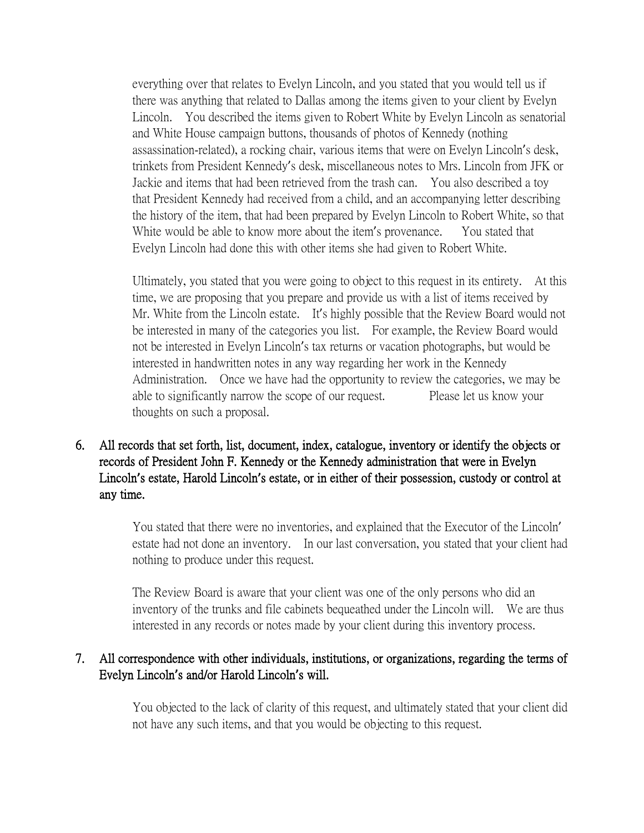everything over that relates to Evelyn Lincoln, and you stated that you would tell us if there was anything that related to Dallas among the items given to your client by Evelyn Lincoln. You described the items given to Robert White by Evelyn Lincoln as senatorial and White House campaign buttons, thousands of photos of Kennedy (nothing assassination-related), a rocking chair, various items that were on Evelyn Lincoln's desk, trinkets from President Kennedy's desk, miscellaneous notes to Mrs. Lincoln from JFK or Jackie and items that had been retrieved from the trash can. You also described a toy that President Kennedy had received from a child, and an accompanying letter describing the history of the item, that had been prepared by Evelyn Lincoln to Robert White, so that White would be able to know more about the item's provenance. You stated that Evelyn Lincoln had done this with other items she had given to Robert White.

 Ultimately, you stated that you were going to object to this request in its entirety. At this time, we are proposing that you prepare and provide us with a list of items received by Mr. White from the Lincoln estate. It's highly possible that the Review Board would not be interested in many of the categories you list. For example, the Review Board would not be interested in Evelyn Lincoln's tax returns or vacation photographs, but would be interested in handwritten notes in any way regarding her work in the Kennedy Administration. Once we have had the opportunity to review the categories, we may be able to significantly narrow the scope of our request. Please let us know your thoughts on such a proposal.

6. All records that set forth, list, document, index, catalogue, inventory or identify the objects or records of President John F. Kennedy or the Kennedy administration that were in Evelyn Lincoln**'**s estate, Harold Lincoln**'**s estate, or in either of their possession, custody or control at any time.

> You stated that there were no inventories, and explained that the Executor of the Lincoln' estate had not done an inventory. In our last conversation, you stated that your client had nothing to produce under this request.

> The Review Board is aware that your client was one of the only persons who did an inventory of the trunks and file cabinets bequeathed under the Lincoln will. We are thus interested in any records or notes made by your client during this inventory process.

### 7. All correspondence with other individuals, institutions, or organizations, regarding the terms of Evelyn Lincoln**'**s and/or Harold Lincoln**'**s will.

You objected to the lack of clarity of this request, and ultimately stated that your client did not have any such items, and that you would be objecting to this request.